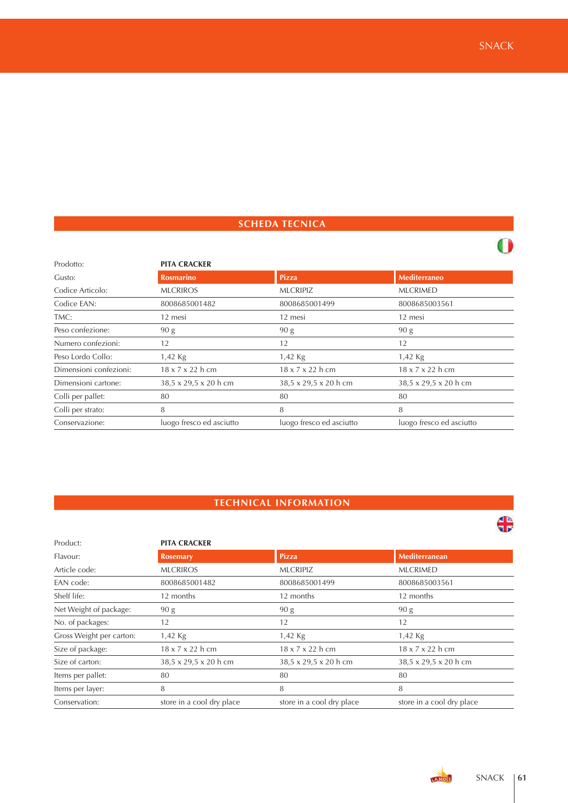## **SCHEDA TECNICA**

| Prodotto:              | <b>PITA CRACKER</b>          |                          |                              |
|------------------------|------------------------------|--------------------------|------------------------------|
| Gusto:                 | <b>Rosmarino</b>             | <b>Pizza</b>             | Mediterraneo                 |
| Codice Articolo:       | <b>MLCRIROS</b>              | <b>MLCRIPIZ</b>          | <b>MLCRIMED</b>              |
| Codice EAN:            | 8008685001482                | 8008685001499            | 8008685003561                |
| TMC:                   | 12 mesi                      | 12 mesi                  | 12 mesi                      |
| Peso confezione:       | 90 g                         | 90 g                     | 90 g                         |
| Numero confezioni:     | 12                           | 12                       | 12                           |
| Peso Lordo Collo:      | 1,42 Kg                      | 1,42 Kg                  | 1,42 Kg                      |
| Dimensioni confezioni: | $18 \times 7 \times 22$ h cm | 18 x 7 x 22 h cm         | $18 \times 7 \times 22$ h cm |
| Dimensioni cartone:    | 38,5 x 29,5 x 20 h cm        | 38,5 x 29,5 x 20 h cm    | 38,5 x 29,5 x 20 h cm        |
| Colli per pallet:      | 80                           | 80                       | 80                           |
| Colli per strato:      | 8                            | 8                        | 8                            |
| Conservazione:         | luogo fresco ed asciutto     | luogo fresco ed asciutto | luogo fresco ed asciutto     |

# **TECHNICAL INFORMATION**

| Product:                 | <b>PITA CRACKER</b>       |                              |                              |  |  |
|--------------------------|---------------------------|------------------------------|------------------------------|--|--|
| Flavour:                 | <b>Rosemary</b>           | Pizza                        | Mediterranean                |  |  |
| Article code:            | <b>MLCRIROS</b>           | <b>MLCRIPIZ</b>              | <b>MLCRIMED</b>              |  |  |
| EAN code:                | 8008685001482             | 8008685001499                | 8008685003561                |  |  |
| Shelf life:              | 12 months                 | 12 months                    | 12 months                    |  |  |
| Net Weight of package:   | 90 g                      | 90 g                         | 90 g                         |  |  |
| No. of packages:         | 12                        | 12                           | 12                           |  |  |
| Gross Weight per carton: | $1,42$ Kg                 | 1,42 Kg                      | 1,42 Kg                      |  |  |
| Size of package:         | 18 x 7 x 22 h cm          | $18 \times 7 \times 22$ h cm | $18 \times 7 \times 22$ h cm |  |  |
| Size of carton:          | 38,5 x 29,5 x 20 h cm     | 38,5 x 29,5 x 20 h cm        | 38,5 x 29,5 x 20 h cm        |  |  |
| Items per pallet:        | 80                        | 80                           | 80                           |  |  |
| Items per layer:         | 8                         | 8                            | 8                            |  |  |
| Conservation:            | store in a cool dry place | store in a cool dry place    | store in a cool dry place    |  |  |

 $\frac{4}{3}$